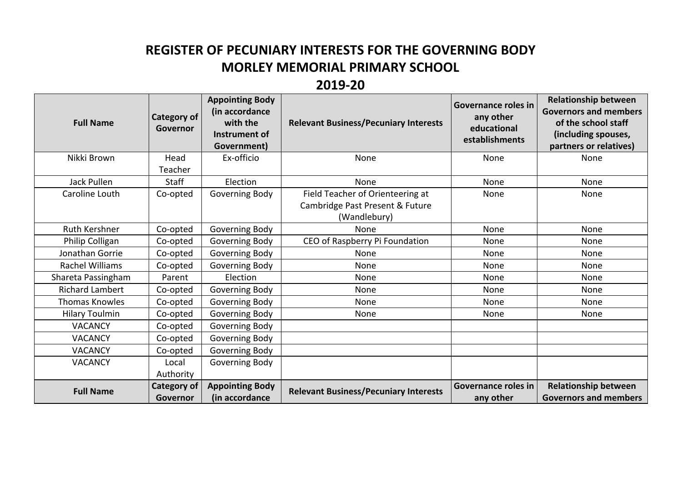## **REGISTER OF PECUNIARY INTERESTS FOR THE GOVERNING BODY MORLEY MEMORIAL PRIMARY SCHOOL**

## **2019-20**

| <b>Full Name</b>       | <b>Category of</b><br>Governor | <b>Appointing Body</b><br>(in accordance<br>with the<br>Instrument of<br>Government) | <b>Relevant Business/Pecuniary Interests</b> | Governance roles in<br>any other<br>educational<br>establishments | <b>Relationship between</b><br><b>Governors and members</b><br>of the school staff<br>(including spouses,<br>partners or relatives) |
|------------------------|--------------------------------|--------------------------------------------------------------------------------------|----------------------------------------------|-------------------------------------------------------------------|-------------------------------------------------------------------------------------------------------------------------------------|
| Nikki Brown            | Head                           | Ex-officio                                                                           | None                                         | None                                                              | None                                                                                                                                |
|                        | Teacher                        |                                                                                      |                                              |                                                                   |                                                                                                                                     |
| <b>Jack Pullen</b>     | <b>Staff</b>                   | Election                                                                             | None                                         | None                                                              | None                                                                                                                                |
| Caroline Louth         | Co-opted                       | Governing Body                                                                       | Field Teacher of Orienteering at             | None                                                              | None                                                                                                                                |
|                        |                                |                                                                                      | Cambridge Past Present & Future              |                                                                   |                                                                                                                                     |
|                        |                                |                                                                                      | (Wandlebury)                                 |                                                                   |                                                                                                                                     |
| Ruth Kershner          | Co-opted                       | Governing Body                                                                       | None                                         | None                                                              | None                                                                                                                                |
| Philip Colligan        | Co-opted                       | Governing Body                                                                       | CEO of Raspberry Pi Foundation               | None                                                              | None                                                                                                                                |
| Jonathan Gorrie        | Co-opted                       | Governing Body                                                                       | None                                         | None                                                              | None                                                                                                                                |
| Rachel Williams        | Co-opted                       | Governing Body                                                                       | None                                         | None                                                              | None                                                                                                                                |
| Shareta Passingham     | Parent                         | Election                                                                             | None                                         | None                                                              | None                                                                                                                                |
| <b>Richard Lambert</b> | Co-opted                       | Governing Body                                                                       | None                                         | None                                                              | None                                                                                                                                |
| <b>Thomas Knowles</b>  | Co-opted                       | Governing Body                                                                       | None                                         | None                                                              | None                                                                                                                                |
| <b>Hilary Toulmin</b>  | Co-opted                       | Governing Body                                                                       | None                                         | None                                                              | None                                                                                                                                |
| <b>VACANCY</b>         | Co-opted                       | Governing Body                                                                       |                                              |                                                                   |                                                                                                                                     |
| <b>VACANCY</b>         | Co-opted                       | Governing Body                                                                       |                                              |                                                                   |                                                                                                                                     |
| <b>VACANCY</b>         | Co-opted                       | Governing Body                                                                       |                                              |                                                                   |                                                                                                                                     |
| <b>VACANCY</b>         | Local                          | Governing Body                                                                       |                                              |                                                                   |                                                                                                                                     |
|                        | Authority                      |                                                                                      |                                              |                                                                   |                                                                                                                                     |
| <b>Full Name</b>       | <b>Category of</b><br>Governor | <b>Appointing Body</b><br>(in accordance                                             | <b>Relevant Business/Pecuniary Interests</b> | Governance roles in<br>any other                                  | <b>Relationship between</b><br><b>Governors and members</b>                                                                         |